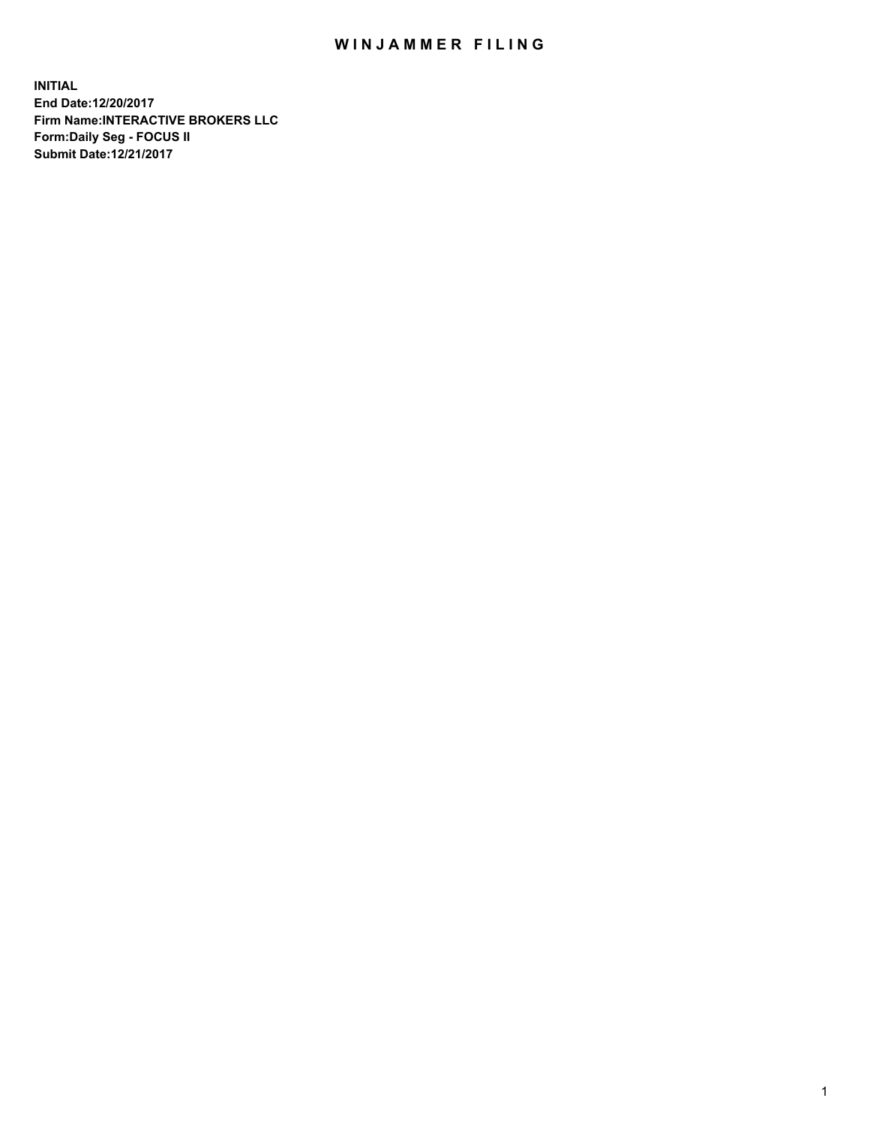## WIN JAMMER FILING

**INITIAL End Date:12/20/2017 Firm Name:INTERACTIVE BROKERS LLC Form:Daily Seg - FOCUS II Submit Date:12/21/2017**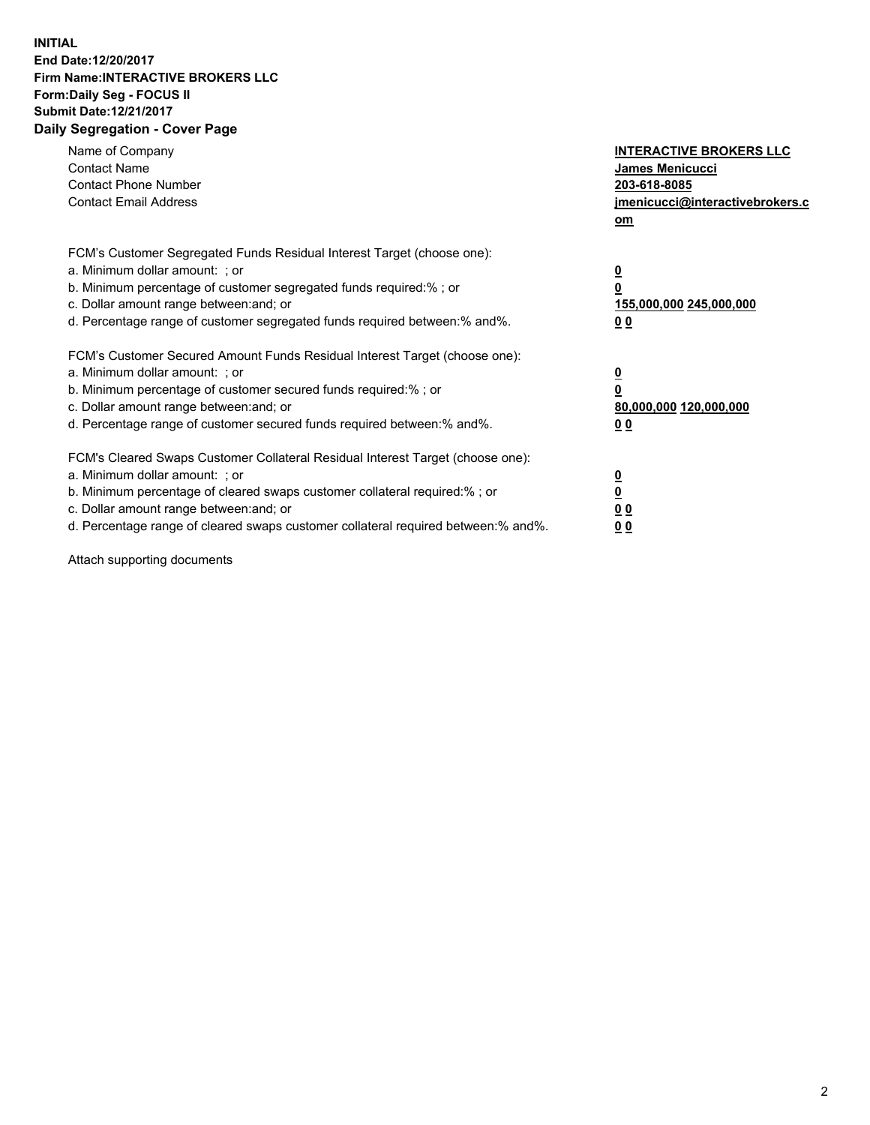## **INITIAL End Date:12/20/2017 Firm Name:INTERACTIVE BROKERS LLC Form:Daily Seg - FOCUS II Submit Date:12/21/2017 Daily Segregation - Cover Page**

| Name of Company<br><b>Contact Name</b><br><b>Contact Phone Number</b><br><b>Contact Email Address</b>                                                                                                                                                                                                                          | <b>INTERACTIVE BROKERS LLC</b><br><b>James Menicucci</b><br>203-618-8085<br><u>jmenicucci@interactivebrokers.c</u><br>om |
|--------------------------------------------------------------------------------------------------------------------------------------------------------------------------------------------------------------------------------------------------------------------------------------------------------------------------------|--------------------------------------------------------------------------------------------------------------------------|
| FCM's Customer Segregated Funds Residual Interest Target (choose one):<br>a. Minimum dollar amount: ; or<br>b. Minimum percentage of customer segregated funds required:%; or<br>c. Dollar amount range between: and; or<br>d. Percentage range of customer segregated funds required between:% and%.                          | <u>0</u><br>0<br><u>155,000,000 245,000,000</u><br>0 <sub>0</sub>                                                        |
| FCM's Customer Secured Amount Funds Residual Interest Target (choose one):<br>a. Minimum dollar amount: ; or<br>b. Minimum percentage of customer secured funds required:%; or<br>c. Dollar amount range between: and; or<br>d. Percentage range of customer secured funds required between:% and%.                            | $\overline{\mathbf{0}}$<br>0<br>80,000,000 120,000,000<br>0 <sub>0</sub>                                                 |
| FCM's Cleared Swaps Customer Collateral Residual Interest Target (choose one):<br>a. Minimum dollar amount: ; or<br>b. Minimum percentage of cleared swaps customer collateral required:% ; or<br>c. Dollar amount range between: and; or<br>d. Percentage range of cleared swaps customer collateral required between:% and%. | $\underline{\mathbf{0}}$<br>$\overline{\mathbf{0}}$<br>0 <sub>0</sub><br><u>00</u>                                       |

Attach supporting documents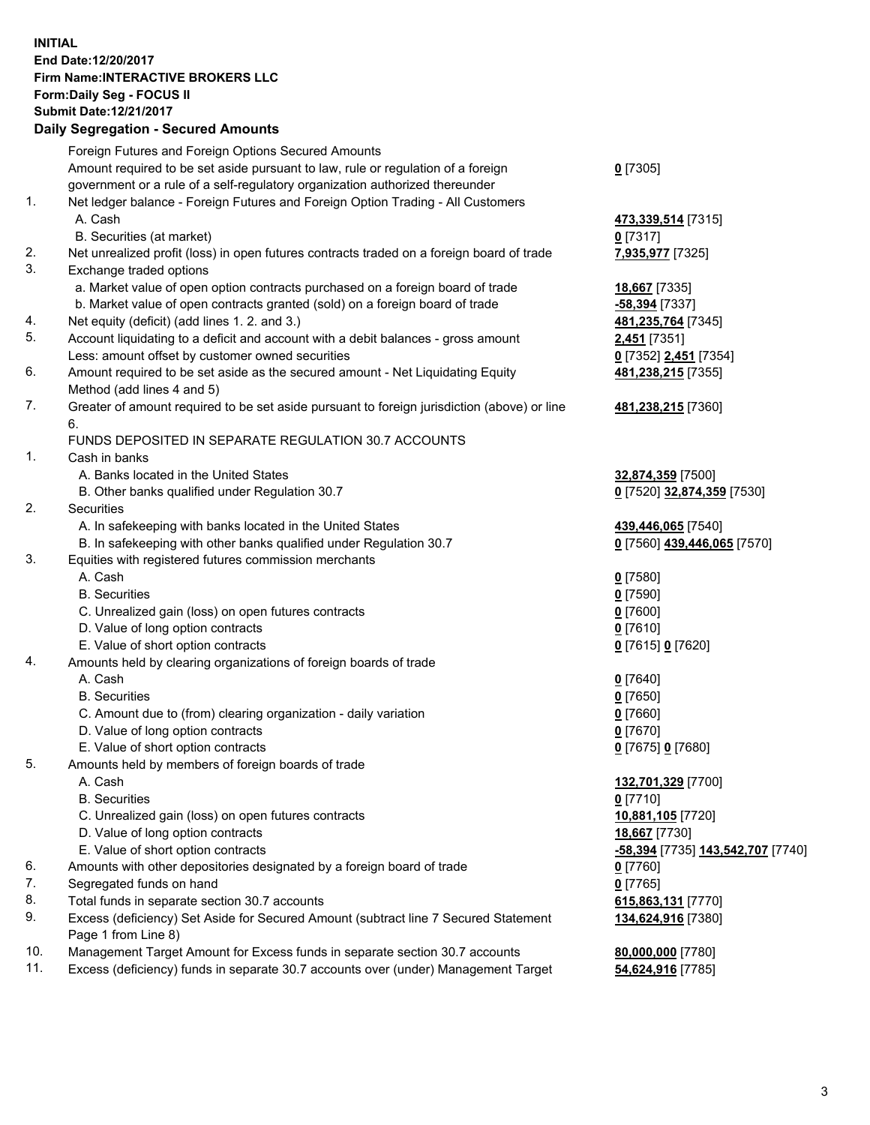## **INITIAL End Date:12/20/2017 Firm Name:INTERACTIVE BROKERS LLC Form:Daily Seg - FOCUS II Submit Date:12/21/2017 Daily Segregation - Secured Amounts**

|     | Daily Segregation - Secured Amounts                                                                        |                                          |
|-----|------------------------------------------------------------------------------------------------------------|------------------------------------------|
|     | Foreign Futures and Foreign Options Secured Amounts                                                        |                                          |
|     | Amount required to be set aside pursuant to law, rule or regulation of a foreign                           | $0$ [7305]                               |
|     | government or a rule of a self-regulatory organization authorized thereunder                               |                                          |
| 1.  | Net ledger balance - Foreign Futures and Foreign Option Trading - All Customers                            |                                          |
|     | A. Cash                                                                                                    | 473,339,514 [7315]                       |
|     | B. Securities (at market)                                                                                  | $0$ [7317]                               |
| 2.  | Net unrealized profit (loss) in open futures contracts traded on a foreign board of trade                  | 7,935,977 [7325]                         |
| 3.  | Exchange traded options                                                                                    |                                          |
|     | a. Market value of open option contracts purchased on a foreign board of trade                             | 18,667 [7335]                            |
|     | b. Market value of open contracts granted (sold) on a foreign board of trade                               | -58,394 [7337]                           |
| 4.  | Net equity (deficit) (add lines 1.2. and 3.)                                                               | 481,235,764 [7345]                       |
| 5.  | Account liquidating to a deficit and account with a debit balances - gross amount                          | 2,451 [7351]                             |
|     | Less: amount offset by customer owned securities                                                           | 0 [7352] 2,451 [7354]                    |
| 6.  | Amount required to be set aside as the secured amount - Net Liquidating Equity                             | 481,238,215 [7355]                       |
|     | Method (add lines 4 and 5)                                                                                 |                                          |
| 7.  | Greater of amount required to be set aside pursuant to foreign jurisdiction (above) or line                | 481,238,215 [7360]                       |
|     | 6.                                                                                                         |                                          |
|     | FUNDS DEPOSITED IN SEPARATE REGULATION 30.7 ACCOUNTS                                                       |                                          |
| 1.  | Cash in banks                                                                                              |                                          |
|     | A. Banks located in the United States                                                                      | 32,874,359 [7500]                        |
|     | B. Other banks qualified under Regulation 30.7                                                             | 0 [7520] 32,874,359 [7530]               |
| 2.  | <b>Securities</b>                                                                                          |                                          |
|     | A. In safekeeping with banks located in the United States                                                  | 439,446,065 [7540]                       |
|     | B. In safekeeping with other banks qualified under Regulation 30.7                                         | 0 [7560] 439,446,065 [7570]              |
| 3.  | Equities with registered futures commission merchants                                                      |                                          |
|     | A. Cash                                                                                                    | $0$ [7580]                               |
|     | <b>B.</b> Securities                                                                                       | $0$ [7590]                               |
|     | C. Unrealized gain (loss) on open futures contracts                                                        | $0$ [7600]                               |
|     | D. Value of long option contracts                                                                          | $0$ [7610]                               |
|     | E. Value of short option contracts                                                                         | 0 [7615] 0 [7620]                        |
| 4.  | Amounts held by clearing organizations of foreign boards of trade                                          |                                          |
|     | A. Cash                                                                                                    | $0$ [7640]                               |
|     | <b>B.</b> Securities                                                                                       | $0$ [7650]                               |
|     | C. Amount due to (from) clearing organization - daily variation                                            | $0$ [7660]                               |
|     | D. Value of long option contracts                                                                          | $0$ [7670]                               |
|     | E. Value of short option contracts                                                                         | 0 [7675] 0 [7680]                        |
| 5.  | Amounts held by members of foreign boards of trade                                                         |                                          |
|     | A. Cash                                                                                                    | 132,701,329 [7700]                       |
|     | <b>B.</b> Securities                                                                                       | $0$ [7710]                               |
|     | C. Unrealized gain (loss) on open futures contracts                                                        | 10,881,105 [7720]                        |
|     | D. Value of long option contracts                                                                          | 18,667 [7730]                            |
|     | E. Value of short option contracts                                                                         | <u>-58,394</u> [7735] 143,542,707 [7740] |
| 6.  | Amounts with other depositories designated by a foreign board of trade                                     | 0 [7760]                                 |
| 7.  | Segregated funds on hand                                                                                   | $0$ [7765]                               |
| 8.  | Total funds in separate section 30.7 accounts                                                              | 615,863,131 [7770]                       |
| 9.  | Excess (deficiency) Set Aside for Secured Amount (subtract line 7 Secured Statement<br>Page 1 from Line 8) | 134,624,916 [7380]                       |
| 10. | Management Target Amount for Excess funds in separate section 30.7 accounts                                | 80,000,000 [7780]                        |
| 11. | Excess (deficiency) funds in separate 30.7 accounts over (under) Management Target                         | 54,624,916 [7785]                        |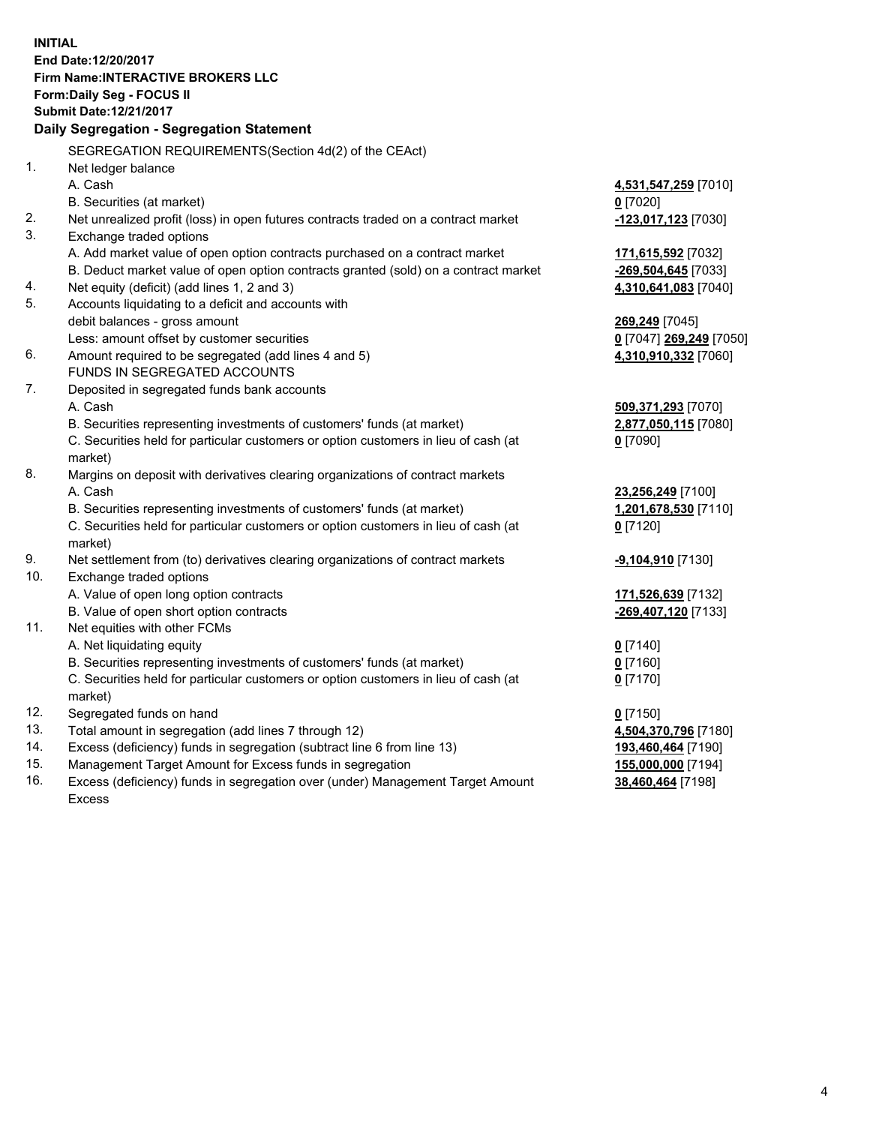**INITIAL End Date:12/20/2017 Firm Name:INTERACTIVE BROKERS LLC Form:Daily Seg - FOCUS II Submit Date:12/21/2017 Daily Segregation - Segregation Statement** SEGREGATION REQUIREMENTS(Section 4d(2) of the CEAct) 1. Net ledger balance A. Cash **4,531,547,259** [7010] B. Securities (at market) **0** [7020] 2. Net unrealized profit (loss) in open futures contracts traded on a contract market **-123,017,123** [7030] 3. Exchange traded options A. Add market value of open option contracts purchased on a contract market **171,615,592** [7032] B. Deduct market value of open option contracts granted (sold) on a contract market **-269,504,645** [7033] 4. Net equity (deficit) (add lines 1, 2 and 3) **4,310,641,083** [7040] 5. Accounts liquidating to a deficit and accounts with debit balances - gross amount **269,249** [7045] Less: amount offset by customer securities **0** [7047] **269,249** [7050] 6. Amount required to be segregated (add lines 4 and 5) **4,310,910,332** [7060] FUNDS IN SEGREGATED ACCOUNTS 7. Deposited in segregated funds bank accounts A. Cash **509,371,293** [7070] B. Securities representing investments of customers' funds (at market) **2,877,050,115** [7080] C. Securities held for particular customers or option customers in lieu of cash (at market) **0** [7090] 8. Margins on deposit with derivatives clearing organizations of contract markets A. Cash **23,256,249** [7100] B. Securities representing investments of customers' funds (at market) **1,201,678,530** [7110] C. Securities held for particular customers or option customers in lieu of cash (at market) **0** [7120] 9. Net settlement from (to) derivatives clearing organizations of contract markets **-9,104,910** [7130] 10. Exchange traded options A. Value of open long option contracts **171,526,639** [7132] B. Value of open short option contracts **-269,407,120** [7133] 11. Net equities with other FCMs A. Net liquidating equity **0** [7140] B. Securities representing investments of customers' funds (at market) **0** [7160] C. Securities held for particular customers or option customers in lieu of cash (at market) **0** [7170] 12. Segregated funds on hand **0** [7150] 13. Total amount in segregation (add lines 7 through 12) **4,504,370,796** [7180] 14. Excess (deficiency) funds in segregation (subtract line 6 from line 13) **193,460,464** [7190] 15. Management Target Amount for Excess funds in segregation **155,000,000** [7194] **38,460,464** [7198]

16. Excess (deficiency) funds in segregation over (under) Management Target Amount Excess